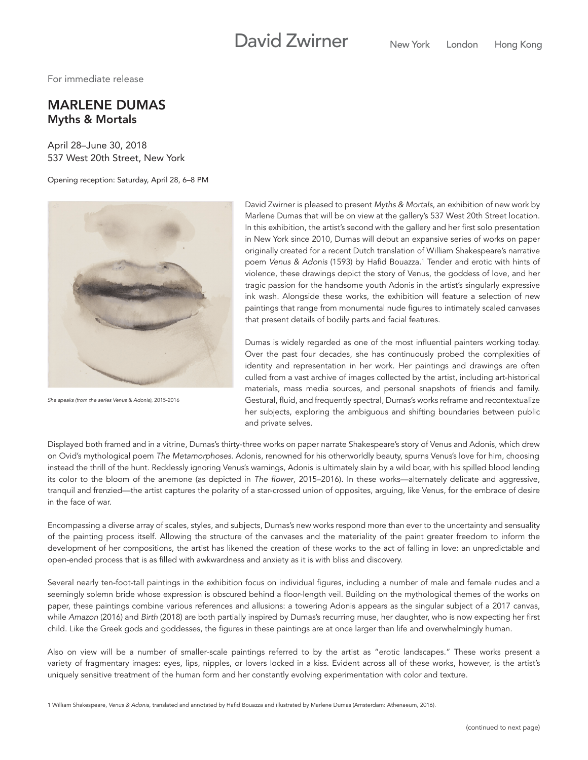For immediate release

## MARLENE DUMAS Myths & Mortals

April 28–June 30, 2018 537 West 20th Street, New York

Opening reception: Saturday, April 28, 6–8 PM



*She speaks (from the series Venus & Adonis)*, 2015-2016

David Zwirner is pleased to present *Myths & Mortals*, an exhibition of new work by Marlene Dumas that will be on view at the gallery's 537 West 20th Street location. In this exhibition, the artist's second with the gallery and her first solo presentation in New York since 2010, Dumas will debut an expansive series of works on paper originally created for a recent Dutch translation of William Shakespeare's narrative poem *Venus & Adonis* (1593) by Hafid Bouazza.<sup>1</sup> Tender and erotic with hints of violence, these drawings depict the story of Venus, the goddess of love, and her tragic passion for the handsome youth Adonis in the artist's singularly expressive ink wash. Alongside these works, the exhibition will feature a selection of new paintings that range from monumental nude figures to intimately scaled canvases that present details of bodily parts and facial features.

Dumas is widely regarded as one of the most influential painters working today. Over the past four decades, she has continuously probed the complexities of identity and representation in her work. Her paintings and drawings are often culled from a vast archive of images collected by the artist, including art-historical materials, mass media sources, and personal snapshots of friends and family. Gestural, fluid, and frequently spectral, Dumas's works reframe and recontextualize her subjects, exploring the ambiguous and shifting boundaries between public and private selves.

Displayed both framed and in a vitrine, Dumas's thirty-three works on paper narrate Shakespeare's story of Venus and Adonis, which drew on Ovid's mythological poem *The Metamorphoses*. Adonis, renowned for his otherworldly beauty, spurns Venus's love for him, choosing instead the thrill of the hunt. Recklessly ignoring Venus's warnings, Adonis is ultimately slain by a wild boar, with his spilled blood lending its color to the bloom of the anemone (as depicted in The flower, 2015–2016). In these works—alternately delicate and aggressive, tranquil and frenzied—the artist captures the polarity of a star-crossed union of opposites, arguing, like Venus, for the embrace of desire in the face of war.

Encompassing a diverse array of scales, styles, and subjects, Dumas's new works respond more than ever to the uncertainty and sensuality of the painting process itself. Allowing the structure of the canvases and the materiality of the paint greater freedom to inform the development of her compositions, the artist has likened the creation of these works to the act of falling in love: an unpredictable and open-ended process that is as filled with awkwardness and anxiety as it is with bliss and discovery.

Several nearly ten-foot-tall paintings in the exhibition focus on individual figures, including a number of male and female nudes and a seemingly solemn bride whose expression is obscured behind a floor-length veil. Building on the mythological themes of the works on paper, these paintings combine various references and allusions: a towering Adonis appears as the singular subject of a 2017 canvas, while *Amazon* (2016) and *Birth* (2018) are both partially inspired by Dumas's recurring muse, her daughter, who is now expecting her first child. Like the Greek gods and goddesses, the figures in these paintings are at once larger than life and overwhelmingly human.

Also on view will be a number of smaller-scale paintings referred to by the artist as "erotic landscapes." These works present a variety of fragmentary images: eyes, lips, nipples, or lovers locked in a kiss. Evident across all of these works, however, is the artist's uniquely sensitive treatment of the human form and her constantly evolving experimentation with color and texture.